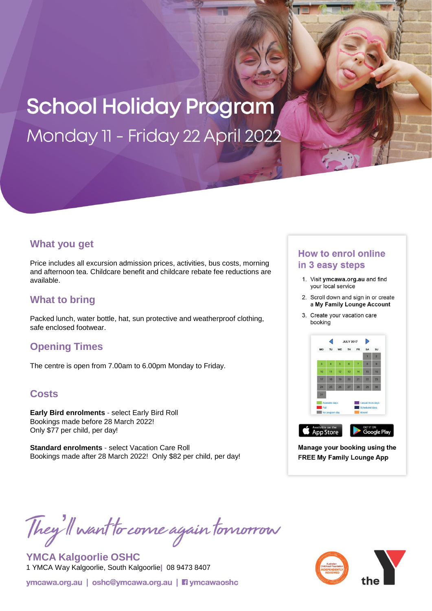# **School Holiday Program** Monday 11 - Friday 22 April 2022

### **What you get**

Price includes all excursion admission prices, activities, bus costs, morning and afternoon tea. Childcare benefit and childcare rebate fee reductions are available.

## **What to bring**

Packed lunch, water bottle, hat, sun protective and weatherproof clothing, safe enclosed footwear.

### **Opening Times**

The centre is open from 7.00am to 6.00pm Monday to Friday.

#### **Costs**

**Early Bird enrolments -** select Early Bird Roll Bookings made before 28 March 2022! Only \$77 per child, per day!

**Standard enrolments -** select Vacation Care Roll Bookings made after 28 March 2022! Only \$82 per child, per day!

#### **How to enrol online** in 3 easy steps

- 1. Visit ymcawa.org.au and find your local service
- 2. Scroll down and sign in or create a My Family Lounge Account
- 3. Create your vacation care booking



Manage your booking using the **FREE My Family Lounge App** 

They'll want to come again tomorrow

**YMCA Kalgoorlie OSHC** 1 YMCA Way Kalgoorlie, South Kalgoorlie**|** 08 9473 8407